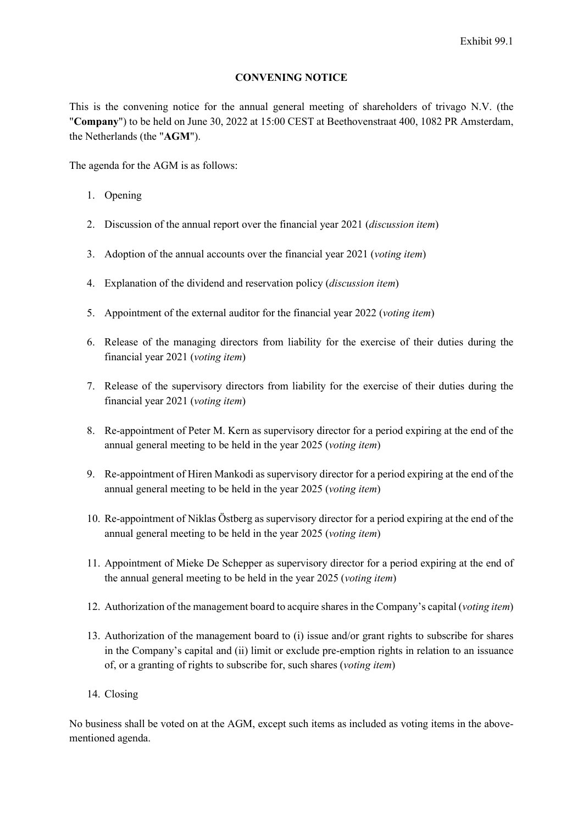#### **CONVENING NOTICE**

This is the convening notice for the annual general meeting of shareholders of trivago N.V. (the "**Company**") to be held on June 30, 2022 at 15:00 CEST at Beethovenstraat 400, 1082 PR Amsterdam, the Netherlands (the "**AGM**").

The agenda for the AGM is as follows:

- 1. Opening
- <span id="page-0-0"></span>2. Discussion of the annual report over the financial year 2021 (*discussion item*)
- <span id="page-0-1"></span>3. Adoption of the annual accounts over the financial year 2021 (*voting item*)
- <span id="page-0-2"></span>4. Explanation of the dividend and reservation policy (*discussion item*)
- <span id="page-0-3"></span>5. Appointment of the external auditor for the financial year 2022 (*voting item*)
- <span id="page-0-4"></span>6. Release of the managing directors from liability for the exercise of their duties during the financial year 2021 (*voting item*)
- <span id="page-0-5"></span>7. Release of the supervisory directors from liability for the exercise of their duties during the financial year 2021 (*voting item*)
- 8. Re-appointment of Peter M. Kern as supervisory director for a period expiring at the end of the annual general meeting to be held in the year 2025 (*voting item*)
- 9. Re-appointment of Hiren Mankodi as supervisory director for a period expiring at the end of the annual general meeting to be held in the year 2025 (*voting item*)
- 10. Re-appointment of Niklas Östberg as supervisory director for a period expiring at the end of the annual general meeting to be held in the year 2025 (*voting item*)
- 11. Appointment of Mieke De Schepper as supervisory director for a period expiring at the end of the annual general meeting to be held in the year 2025 (*voting item*)
- 12. Authorization of the management board to acquire shares in the Company's capital (*voting item*)
- 13. Authorization of the management board to (i) issue and/or grant rights to subscribe for shares in the Company's capital and (ii) limit or exclude pre-emption rights in relation to an issuance of, or a granting of rights to subscribe for, such shares (*voting item*)
- 14. Closing

No business shall be voted on at the AGM, except such items as included as voting items in the abovementioned agenda.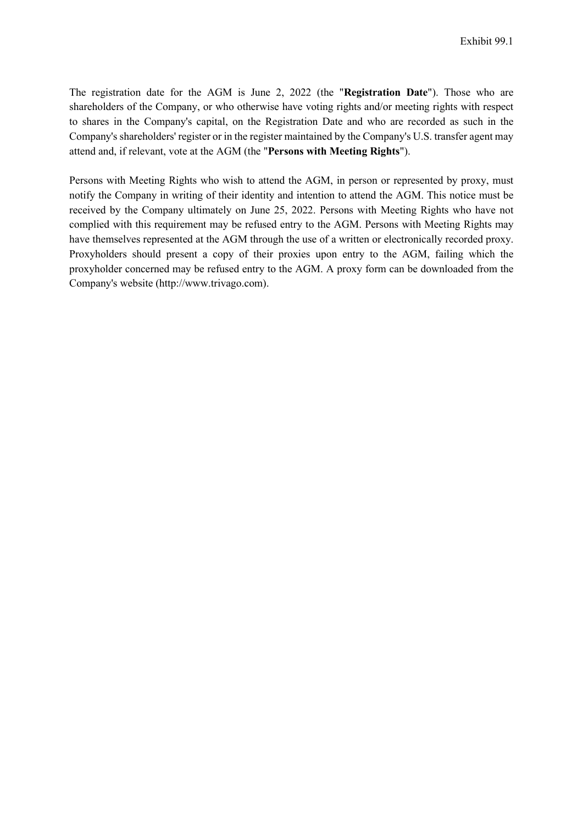The registration date for the AGM is June 2, 2022 (the "**Registration Date**"). Those who are shareholders of the Company, or who otherwise have voting rights and/or meeting rights with respect to shares in the Company's capital, on the Registration Date and who are recorded as such in the Company's shareholders' register or in the register maintained by the Company's U.S. transfer agent may attend and, if relevant, vote at the AGM (the "**Persons with Meeting Rights**").

Persons with Meeting Rights who wish to attend the AGM, in person or represented by proxy, must notify the Company in writing of their identity and intention to attend the AGM. This notice must be received by the Company ultimately on June 25, 2022. Persons with Meeting Rights who have not complied with this requirement may be refused entry to the AGM. Persons with Meeting Rights may have themselves represented at the AGM through the use of a written or electronically recorded proxy. Proxyholders should present a copy of their proxies upon entry to the AGM, failing which the proxyholder concerned may be refused entry to the AGM. A proxy form can be downloaded from the Company's website (http://www.trivago.com).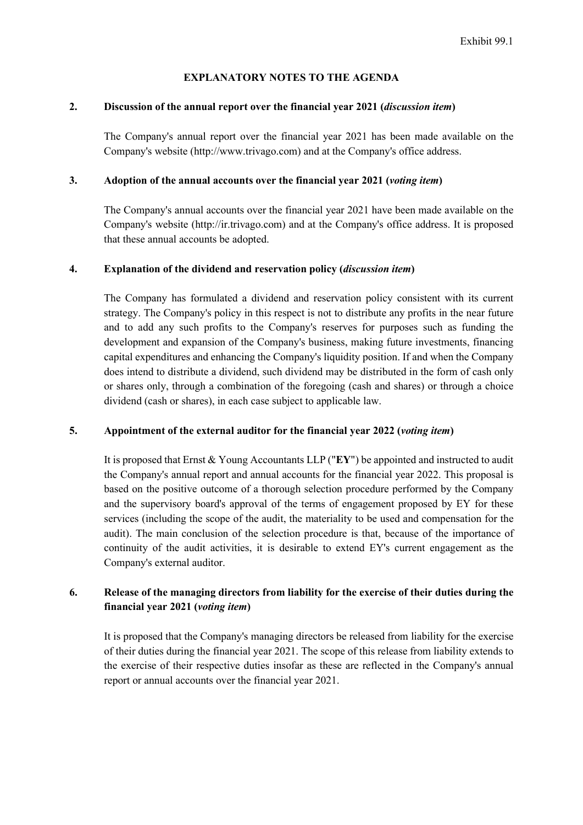#### **EXPLANATORY NOTES TO THE AGENDA**

#### **[2.](#page-0-0) Discussion of the annual report over the financial year 2021 (***discussion item***)**

The Company's annual report over the financial year 2021 has been made available on the Company's website (http://www.trivago.com) and at the Company's office address.

#### **[3.](#page-0-1) Adoption of the annual accounts over the financial year 2021 (***voting item***)**

The Company's annual accounts over the financial year 2021 have been made available on the Company's website (http://ir.trivago.com) and at the Company's office address. It is proposed that these annual accounts be adopted.

#### **[4.](#page-0-2) Explanation of the dividend and reservation policy (***discussion item***)**

The Company has formulated a dividend and reservation policy consistent with its current strategy. The Company's policy in this respect is not to distribute any profits in the near future and to add any such profits to the Company's reserves for purposes such as funding the development and expansion of the Company's business, making future investments, financing capital expenditures and enhancing the Company's liquidity position. If and when the Company does intend to distribute a dividend, such dividend may be distributed in the form of cash only or shares only, through a combination of the foregoing (cash and shares) or through a choice dividend (cash or shares), in each case subject to applicable law.

#### **[5.](#page-0-3) Appointment of the external auditor for the financial year 2022 (***voting item***)**

It is proposed that Ernst & Young Accountants LLP ("**EY**") be appointed and instructed to audit the Company's annual report and annual accounts for the financial year 2022. This proposal is based on the positive outcome of a thorough selection procedure performed by the Company and the supervisory board's approval of the terms of engagement proposed by EY for these services (including the scope of the audit, the materiality to be used and compensation for the audit). The main conclusion of the selection procedure is that, because of the importance of continuity of the audit activities, it is desirable to extend EY's current engagement as the Company's external auditor.

### **[6.](#page-0-4) Release of the managing directors from liability for the exercise of their duties during the financial year 2021 (***voting item***)**

It is proposed that the Company's managing directors be released from liability for the exercise of their duties during the financial year 2021. The scope of this release from liability extends to the exercise of their respective duties insofar as these are reflected in the Company's annual report or annual accounts over the financial year 2021.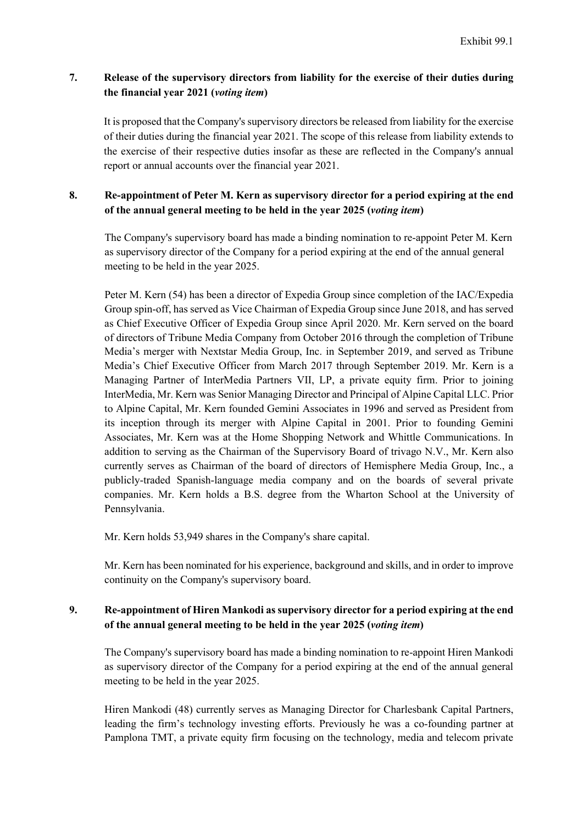### **[7.](#page-0-5) Release of the supervisory directors from liability for the exercise of their duties during the financial year 2021 (***voting item***)**

It is proposed that the Company's supervisory directors be released from liability for the exercise of their duties during the financial year 2021. The scope of this release from liability extends to the exercise of their respective duties insofar as these are reflected in the Company's annual report or annual accounts over the financial year 2021.

### **8. Re-appointment of Peter M. Kern as supervisory director for a period expiring at the end of the annual general meeting to be held in the year 2025 (***voting item***)**

The Company's supervisory board has made a binding nomination to re-appoint Peter M. Kern as supervisory director of the Company for a period expiring at the end of the annual general meeting to be held in the year 2025.

Peter M. Kern (54) has been a director of Expedia Group since completion of the IAC/Expedia Group spin-off, has served as Vice Chairman of Expedia Group since June 2018, and has served as Chief Executive Officer of Expedia Group since April 2020. Mr. Kern served on the board of directors of Tribune Media Company from October 2016 through the completion of Tribune Media's merger with Nextstar Media Group, Inc. in September 2019, and served as Tribune Media's Chief Executive Officer from March 2017 through September 2019. Mr. Kern is a Managing Partner of InterMedia Partners VII, LP, a private equity firm. Prior to joining InterMedia, Mr. Kern was Senior Managing Director and Principal of Alpine Capital LLC. Prior to Alpine Capital, Mr. Kern founded Gemini Associates in 1996 and served as President from its inception through its merger with Alpine Capital in 2001. Prior to founding Gemini Associates, Mr. Kern was at the Home Shopping Network and Whittle Communications. In addition to serving as the Chairman of the Supervisory Board of trivago N.V., Mr. Kern also currently serves as Chairman of the board of directors of Hemisphere Media Group, Inc., a publicly-traded Spanish-language media company and on the boards of several private companies. Mr. Kern holds a B.S. degree from the Wharton School at the University of Pennsylvania.

Mr. Kern holds 53,949 shares in the Company's share capital.

Mr. Kern has been nominated for his experience, background and skills, and in order to improve continuity on the Company's supervisory board.

## **9. Re-appointment of Hiren Mankodi as supervisory director for a period expiring at the end of the annual general meeting to be held in the year 2025 (***voting item***)**

The Company's supervisory board has made a binding nomination to re-appoint Hiren Mankodi as supervisory director of the Company for a period expiring at the end of the annual general meeting to be held in the year 2025.

Hiren Mankodi (48) currently serves as Managing Director for Charlesbank Capital Partners, leading the firm's technology investing efforts. Previously he was a co-founding partner at Pamplona TMT, a private equity firm focusing on the technology, media and telecom private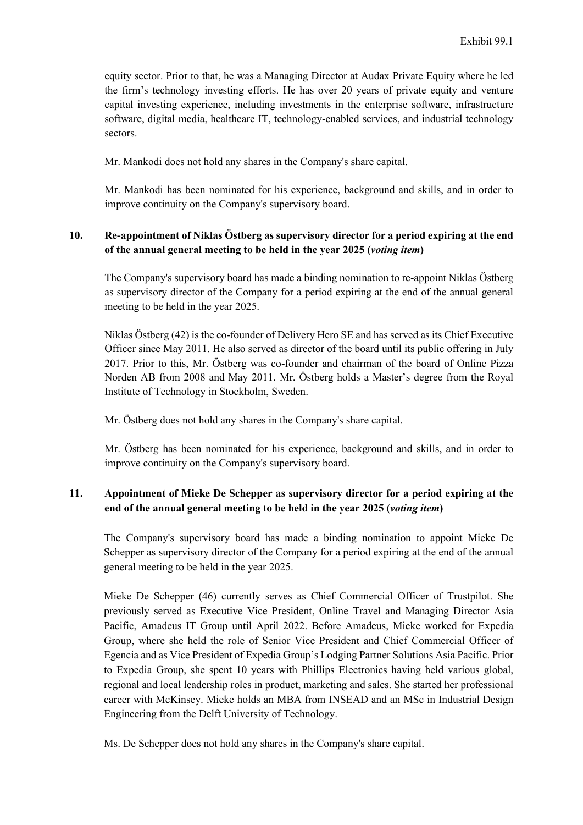equity sector. Prior to that, he was a Managing Director at Audax Private Equity where he led the firm's technology investing efforts. He has over 20 years of private equity and venture capital investing experience, including investments in the enterprise software, infrastructure software, digital media, healthcare IT, technology-enabled services, and industrial technology sectors.

Mr. Mankodi does not hold any shares in the Company's share capital.

Mr. Mankodi has been nominated for his experience, background and skills, and in order to improve continuity on the Company's supervisory board.

## **10. Re-appointment of Niklas Östberg as supervisory director for a period expiring at the end of the annual general meeting to be held in the year 2025 (***voting item***)**

The Company's supervisory board has made a binding nomination to re-appoint Niklas Östberg as supervisory director of the Company for a period expiring at the end of the annual general meeting to be held in the year 2025.

Niklas Östberg (42) is the co-founder of Delivery Hero SE and has served as its Chief Executive Officer since May 2011. He also served as director of the board until its public offering in July 2017. Prior to this, Mr. Östberg was co-founder and chairman of the board of Online Pizza Norden AB from 2008 and May 2011. Mr. Östberg holds a Master's degree from the Royal Institute of Technology in Stockholm, Sweden.

Mr. Östberg does not hold any shares in the Company's share capital.

Mr. Östberg has been nominated for his experience, background and skills, and in order to improve continuity on the Company's supervisory board.

## **11. Appointment of Mieke De Schepper as supervisory director for a period expiring at the end of the annual general meeting to be held in the year 2025 (***voting item***)**

The Company's supervisory board has made a binding nomination to appoint Mieke De Schepper as supervisory director of the Company for a period expiring at the end of the annual general meeting to be held in the year 2025.

Mieke De Schepper (46) currently serves as Chief Commercial Officer of Trustpilot. She previously served as Executive Vice President, Online Travel and Managing Director Asia Pacific, Amadeus IT Group until April 2022. Before Amadeus, Mieke worked for Expedia Group, where she held the role of Senior Vice President and Chief Commercial Officer of Egencia and as Vice President of Expedia Group's Lodging Partner Solutions Asia Pacific. Prior to Expedia Group, she spent 10 years with Phillips Electronics having held various global, regional and local leadership roles in product, marketing and sales. She started her professional career with McKinsey. Mieke holds an MBA from INSEAD and an MSc in Industrial Design Engineering from the Delft University of Technology.

Ms. De Schepper does not hold any shares in the Company's share capital.